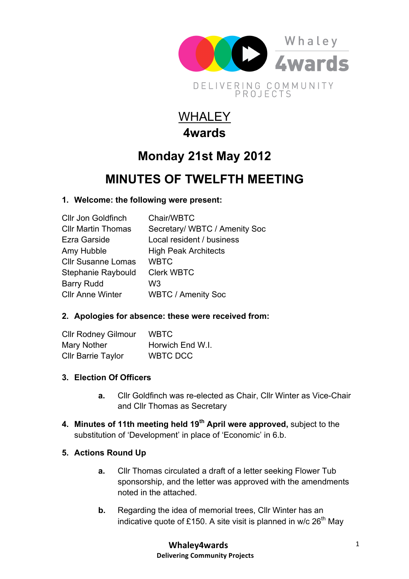

# WHALEY **4wards**

## **Monday 21st May 2012**

### **MINUTES OF TWELFTH MEETING**

### **1. Welcome: the following were present:**

| <b>Cllr Jon Goldfinch</b> | Chair/WBTC                    |
|---------------------------|-------------------------------|
| <b>CIIr Martin Thomas</b> | Secretary/ WBTC / Amenity Soc |
| Ezra Garside              | Local resident / business     |
| Amy Hubble                | <b>High Peak Architects</b>   |
| <b>Cllr Susanne Lomas</b> | <b>WBTC</b>                   |
| Stephanie Raybould        | <b>Clerk WBTC</b>             |
| <b>Barry Rudd</b>         | W3                            |
| <b>Cllr Anne Winter</b>   | <b>WBTC / Amenity Soc</b>     |
|                           |                               |

### **2. Apologies for absence: these were received from:**

| <b>Cllr Rodney Gilmour</b> | <b>WBTC</b>      |
|----------------------------|------------------|
| Mary Nother                | Horwich End W.I. |
| <b>Cllr Barrie Taylor</b>  | WBTC DCC         |

### **3. Election Of Officers**

- **a.** Cllr Goldfinch was re-elected as Chair, Cllr Winter as Vice-Chair and Cllr Thomas as Secretary
- **4. Minutes of 11th meeting held 19th April were approved,** subject to the substitution of 'Development' in place of 'Economic' in 6.b.

#### **5. Actions Round Up**

- **a.** Cllr Thomas circulated a draft of a letter seeking Flower Tub sponsorship, and the letter was approved with the amendments noted in the attached.
- **b.** Regarding the idea of memorial trees, Cllr Winter has an indicative quote of £150. A site visit is planned in w/c  $26<sup>th</sup>$  May

**Whaley4wards Delivering Community Projects**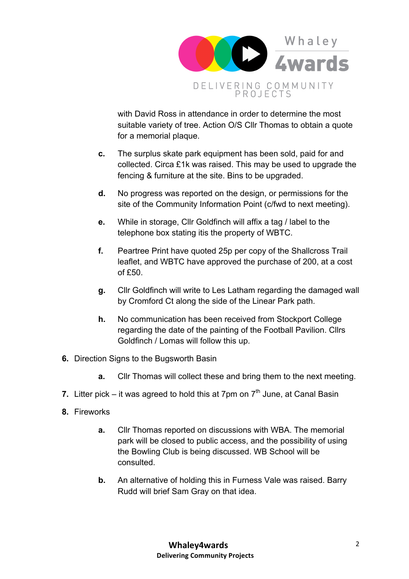

with David Ross in attendance in order to determine the most suitable variety of tree. Action O/S Cllr Thomas to obtain a quote for a memorial plaque.

- **c.** The surplus skate park equipment has been sold, paid for and collected. Circa £1k was raised. This may be used to upgrade the fencing & furniture at the site. Bins to be upgraded.
- **d.** No progress was reported on the design, or permissions for the site of the Community Information Point (c/fwd to next meeting).
- **e.** While in storage, Cllr Goldfinch will affix a tag / label to the telephone box stating itis the property of WBTC.
- **f.** Peartree Print have quoted 25p per copy of the Shallcross Trail leaflet, and WBTC have approved the purchase of 200, at a cost of £50.
- **g.** Cllr Goldfinch will write to Les Latham regarding the damaged wall by Cromford Ct along the side of the Linear Park path.
- **h.** No communication has been received from Stockport College regarding the date of the painting of the Football Pavilion. Cllrs Goldfinch / Lomas will follow this up.
- **6.** Direction Signs to the Bugsworth Basin
	- **a.** Cllr Thomas will collect these and bring them to the next meeting.
- **7.** Litter pick it was agreed to hold this at 7pm on  $7<sup>th</sup>$  June, at Canal Basin
- **8.** Fireworks
	- **a.** Cllr Thomas reported on discussions with WBA. The memorial park will be closed to public access, and the possibility of using the Bowling Club is being discussed. WB School will be consulted.
	- **b.** An alternative of holding this in Furness Vale was raised. Barry Rudd will brief Sam Gray on that idea.